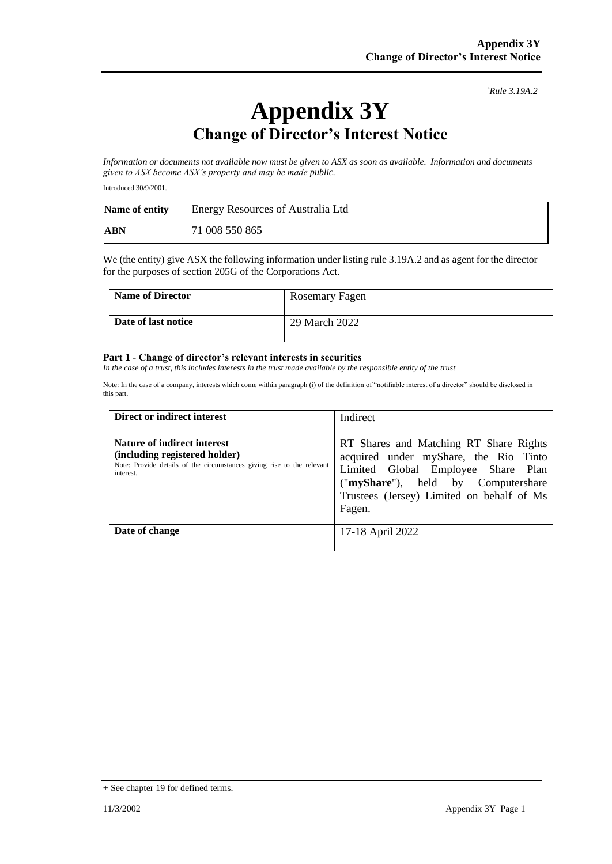*`Rule 3.19A.2*

## **Appendix 3Y Change of Director's Interest Notice**

*Information or documents not available now must be given to ASX as soon as available. Information and documents given to ASX become ASX's property and may be made public.*

Introduced 30/9/2001.

| Name of entity | Energy Resources of Australia Ltd |  |
|----------------|-----------------------------------|--|
| ABN            | 71 008 550 865                    |  |

We (the entity) give ASX the following information under listing rule 3.19A.2 and as agent for the director for the purposes of section 205G of the Corporations Act.

| <b>Name of Director</b> | Rosemary Fagen |
|-------------------------|----------------|
| Date of last notice     | 29 March 2022  |

## **Part 1 - Change of director's relevant interests in securities**

*In the case of a trust, this includes interests in the trust made available by the responsible entity of the trust*

Note: In the case of a company, interests which come within paragraph (i) of the definition of "notifiable interest of a director" should be disclosed in this part.

| Direct or indirect interest                                                                                                                                | Indirect                                                                                                                                                                                                           |
|------------------------------------------------------------------------------------------------------------------------------------------------------------|--------------------------------------------------------------------------------------------------------------------------------------------------------------------------------------------------------------------|
| <b>Nature of indirect interest</b><br>(including registered holder)<br>Note: Provide details of the circumstances giving rise to the relevant<br>interest. | RT Shares and Matching RT Share Rights<br>acquired under myShare, the Rio Tinto<br>Limited Global Employee Share Plan<br>("myShare"), held by Computershare<br>Trustees (Jersey) Limited on behalf of Ms<br>Fagen. |
| Date of change                                                                                                                                             | 17-18 April 2022                                                                                                                                                                                                   |

<sup>+</sup> See chapter 19 for defined terms.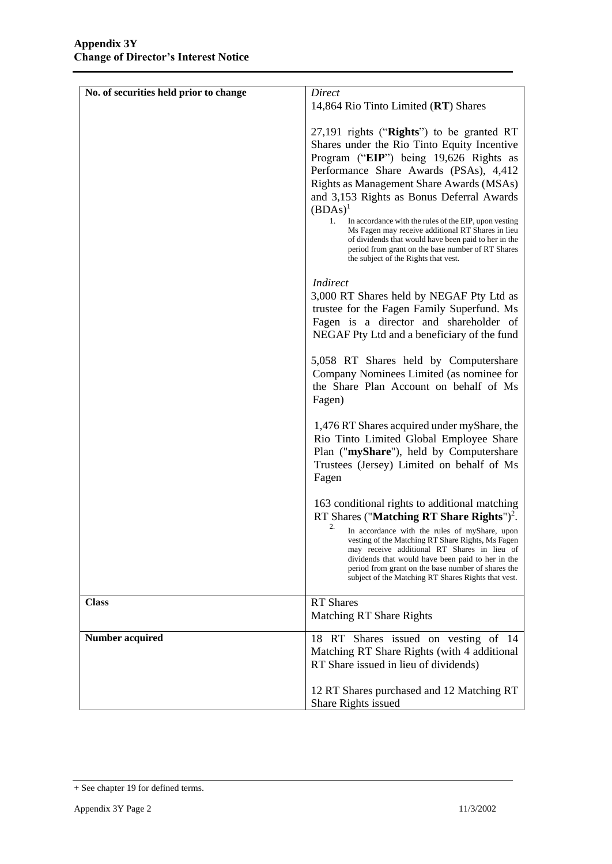| No. of securities held prior to change | Direct<br>14,864 Rio Tinto Limited (RT) Shares                                                                                                                                                                                                                                                                                                                                                                                                                                                                                                                 |
|----------------------------------------|----------------------------------------------------------------------------------------------------------------------------------------------------------------------------------------------------------------------------------------------------------------------------------------------------------------------------------------------------------------------------------------------------------------------------------------------------------------------------------------------------------------------------------------------------------------|
|                                        | $27,191$ rights ("Rights") to be granted RT<br>Shares under the Rio Tinto Equity Incentive<br>Program ("EIP") being 19,626 Rights as<br>Performance Share Awards (PSAs), 4,412<br>Rights as Management Share Awards (MSAs)<br>and 3,153 Rights as Bonus Deferral Awards<br>$(BDAs)^1$<br>1.<br>In accordance with the rules of the EIP, upon vesting<br>Ms Fagen may receive additional RT Shares in lieu<br>of dividends that would have been paid to her in the<br>period from grant on the base number of RT Shares<br>the subject of the Rights that vest. |
|                                        | <b>Indirect</b><br>3,000 RT Shares held by NEGAF Pty Ltd as<br>trustee for the Fagen Family Superfund. Ms<br>Fagen is a director and shareholder of<br>NEGAF Pty Ltd and a beneficiary of the fund                                                                                                                                                                                                                                                                                                                                                             |
|                                        | 5,058 RT Shares held by Computershare<br>Company Nominees Limited (as nominee for<br>the Share Plan Account on behalf of Ms<br>Fagen)                                                                                                                                                                                                                                                                                                                                                                                                                          |
|                                        | 1,476 RT Shares acquired under myShare, the<br>Rio Tinto Limited Global Employee Share<br>Plan ("myShare"), held by Computershare<br>Trustees (Jersey) Limited on behalf of Ms<br>Fagen                                                                                                                                                                                                                                                                                                                                                                        |
|                                        | 163 conditional rights to additional matching<br>RT Shares ("Matching RT Share Rights") <sup>2</sup> .<br>2.<br>In accordance with the rules of myShare, upon<br>vesting of the Matching RT Share Rights, Ms Fagen<br>may receive additional RT Shares in lieu of<br>dividends that would have been paid to her in the<br>period from grant on the base number of shares the<br>subject of the Matching RT Shares Rights that vest.                                                                                                                            |
| <b>Class</b>                           | <b>RT</b> Shares<br>Matching RT Share Rights                                                                                                                                                                                                                                                                                                                                                                                                                                                                                                                   |
| <b>Number acquired</b>                 | 18 RT Shares issued on vesting of 14<br>Matching RT Share Rights (with 4 additional<br>RT Share issued in lieu of dividends)                                                                                                                                                                                                                                                                                                                                                                                                                                   |
|                                        | 12 RT Shares purchased and 12 Matching RT<br>Share Rights issued                                                                                                                                                                                                                                                                                                                                                                                                                                                                                               |

<sup>+</sup> See chapter 19 for defined terms.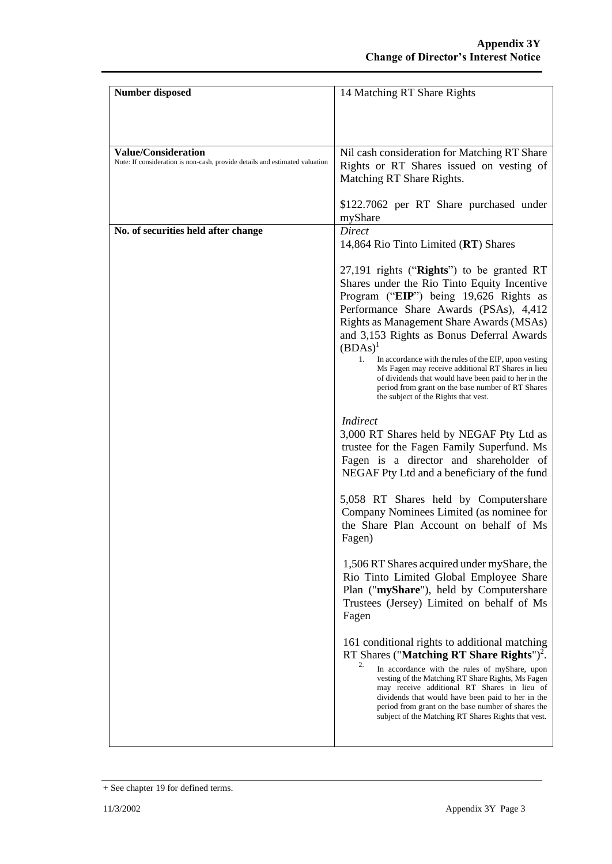| <b>Number disposed</b>                                                      | 14 Matching RT Share Rights                                                                                  |
|-----------------------------------------------------------------------------|--------------------------------------------------------------------------------------------------------------|
|                                                                             |                                                                                                              |
|                                                                             |                                                                                                              |
|                                                                             |                                                                                                              |
| <b>Value/Consideration</b>                                                  | Nil cash consideration for Matching RT Share                                                                 |
| Note: If consideration is non-cash, provide details and estimated valuation | Rights or RT Shares issued on vesting of                                                                     |
|                                                                             | Matching RT Share Rights.                                                                                    |
|                                                                             |                                                                                                              |
|                                                                             | \$122.7062 per RT Share purchased under                                                                      |
|                                                                             | myShare                                                                                                      |
| No. of securities held after change                                         | <b>Direct</b>                                                                                                |
|                                                                             | 14,864 Rio Tinto Limited (RT) Shares                                                                         |
|                                                                             | 27,191 rights ("Rights") to be granted RT                                                                    |
|                                                                             | Shares under the Rio Tinto Equity Incentive                                                                  |
|                                                                             | Program ("EIP") being 19,626 Rights as                                                                       |
|                                                                             | Performance Share Awards (PSAs), 4,412                                                                       |
|                                                                             | Rights as Management Share Awards (MSAs)                                                                     |
|                                                                             | and 3,153 Rights as Bonus Deferral Awards                                                                    |
|                                                                             | $(BDAs)^1$<br>1.<br>In accordance with the rules of the EIP, upon vesting                                    |
|                                                                             | Ms Fagen may receive additional RT Shares in lieu                                                            |
|                                                                             | of dividends that would have been paid to her in the<br>period from grant on the base number of RT Shares    |
|                                                                             | the subject of the Rights that vest.                                                                         |
|                                                                             |                                                                                                              |
|                                                                             | <i>Indirect</i>                                                                                              |
|                                                                             | 3,000 RT Shares held by NEGAF Pty Ltd as<br>trustee for the Fagen Family Superfund. Ms                       |
|                                                                             | Fagen is a director and shareholder of                                                                       |
|                                                                             | NEGAF Pty Ltd and a beneficiary of the fund                                                                  |
|                                                                             |                                                                                                              |
|                                                                             | 5,058 RT Shares held by Computershare                                                                        |
|                                                                             | Company Nominees Limited (as nominee for                                                                     |
|                                                                             | the Share Plan Account on behalf of Ms                                                                       |
|                                                                             | Fagen)                                                                                                       |
|                                                                             | 1,506 RT Shares acquired under myShare, the                                                                  |
|                                                                             | Rio Tinto Limited Global Employee Share                                                                      |
|                                                                             | Plan ("myShare"), held by Computershare                                                                      |
|                                                                             | Trustees (Jersey) Limited on behalf of Ms                                                                    |
|                                                                             | Fagen                                                                                                        |
|                                                                             |                                                                                                              |
|                                                                             | 161 conditional rights to additional matching                                                                |
|                                                                             | RT Shares ("Matching RT Share Rights") <sup>2</sup> .<br>2.<br>In accordance with the rules of myShare, upon |
|                                                                             | vesting of the Matching RT Share Rights, Ms Fagen                                                            |
|                                                                             | may receive additional RT Shares in lieu of<br>dividends that would have been paid to her in the             |
|                                                                             | period from grant on the base number of shares the                                                           |
|                                                                             | subject of the Matching RT Shares Rights that vest.                                                          |
|                                                                             |                                                                                                              |

<sup>+</sup> See chapter 19 for defined terms.